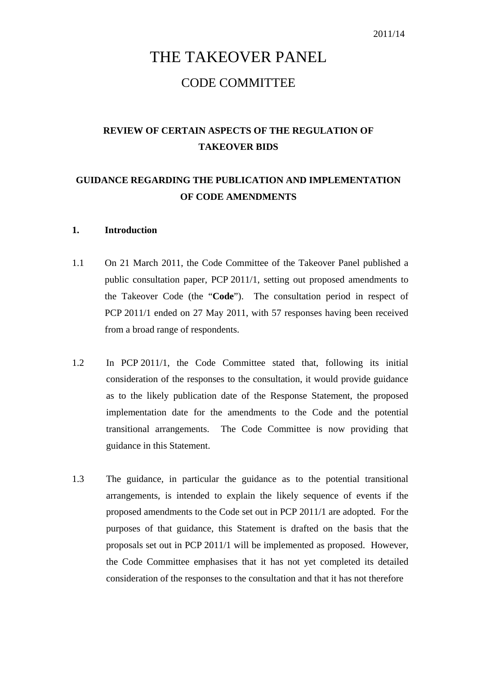# THE TAKEOVER PANEL CODE COMMITTEE

# **REVIEW OF CERTAIN ASPECTS OF THE REGULATION OF TAKEOVER BIDS**

# **GUIDANCE REGARDING THE PUBLICATION AND IMPLEMENTATION OF CODE AMENDMENTS**

#### **1. Introduction**

- 1.1 On 21 March 2011, the Code Committee of the Takeover Panel published a public consultation paper, PCP 2011/1, setting out proposed amendments to the Takeover Code (the "**Code**"). The consultation period in respect of PCP 2011/1 ended on 27 May 2011, with 57 responses having been received from a broad range of respondents.
- 1.2 In PCP 2011/1, the Code Committee stated that, following its initial consideration of the responses to the consultation, it would provide guidance as to the likely publication date of the Response Statement, the proposed implementation date for the amendments to the Code and the potential transitional arrangements. The Code Committee is now providing that guidance in this Statement.
- 1.3 The guidance, in particular the guidance as to the potential transitional arrangements, is intended to explain the likely sequence of events if the proposed amendments to the Code set out in PCP 2011/1 are adopted. For the purposes of that guidance, this Statement is drafted on the basis that the proposals set out in PCP 2011/1 will be implemented as proposed. However, the Code Committee emphasises that it has not yet completed its detailed consideration of the responses to the consultation and that it has not therefore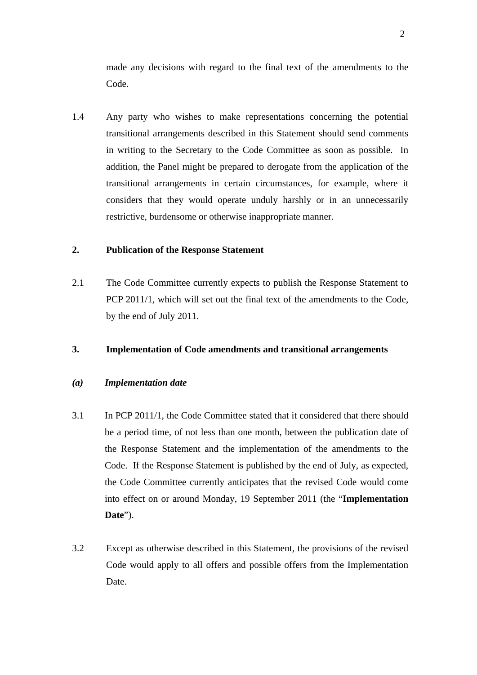made any decisions with regard to the final text of the amendments to the Code.

1.4 Any party who wishes to make representations concerning the potential transitional arrangements described in this Statement should send comments in writing to the Secretary to the Code Committee as soon as possible. In addition, the Panel might be prepared to derogate from the application of the transitional arrangements in certain circumstances, for example, where it considers that they would operate unduly harshly or in an unnecessarily restrictive, burdensome or otherwise inappropriate manner.

### **2. Publication of the Response Statement**

2.1 The Code Committee currently expects to publish the Response Statement to PCP 2011/1, which will set out the final text of the amendments to the Code, by the end of July 2011.

### **3. Implementation of Code amendments and transitional arrangements**

### *(a) Implementation date*

- 3.1 In PCP 2011/1, the Code Committee stated that it considered that there should be a period time, of not less than one month, between the publication date of the Response Statement and the implementation of the amendments to the Code. If the Response Statement is published by the end of July, as expected, the Code Committee currently anticipates that the revised Code would come into effect on or around Monday, 19 September 2011 (the "**Implementation Date**").
- 3.2 Except as otherwise described in this Statement, the provisions of the revised Code would apply to all offers and possible offers from the Implementation Date.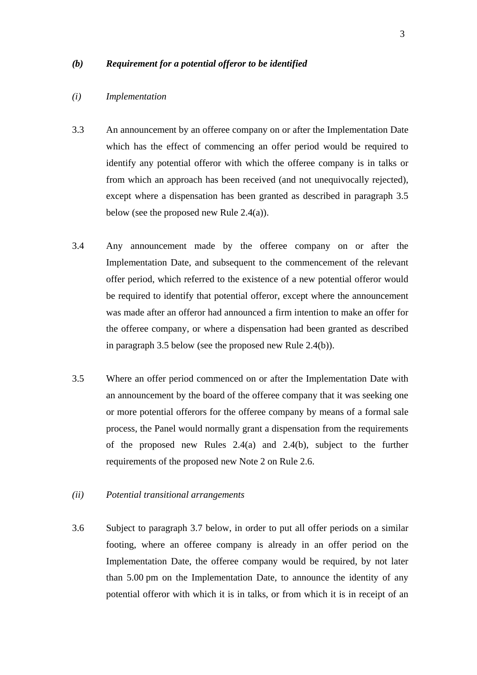#### *(b) Requirement for a potential offeror to be identified*

#### *(i) Implementation*

- 3.3 An announcement by an offeree company on or after the Implementation Date which has the effect of commencing an offer period would be required to identify any potential offeror with which the offeree company is in talks or from which an approach has been received (and not unequivocally rejected), except where a dispensation has been granted as described in paragraph 3.5 below (see the proposed new Rule 2.4(a)).
- 3.4 Any announcement made by the offeree company on or after the Implementation Date, and subsequent to the commencement of the relevant offer period, which referred to the existence of a new potential offeror would be required to identify that potential offeror, except where the announcement was made after an offeror had announced a firm intention to make an offer for the offeree company, or where a dispensation had been granted as described in paragraph 3.5 below (see the proposed new Rule 2.4(b)).
- 3.5 Where an offer period commenced on or after the Implementation Date with an announcement by the board of the offeree company that it was seeking one or more potential offerors for the offeree company by means of a formal sale process, the Panel would normally grant a dispensation from the requirements of the proposed new Rules 2.4(a) and 2.4(b), subject to the further requirements of the proposed new Note 2 on Rule 2.6.
- *(ii) Potential transitional arrangements*
- 3.6 Subject to paragraph 3.7 below, in order to put all offer periods on a similar footing, where an offeree company is already in an offer period on the Implementation Date, the offeree company would be required, by not later than 5.00 pm on the Implementation Date, to announce the identity of any potential offeror with which it is in talks, or from which it is in receipt of an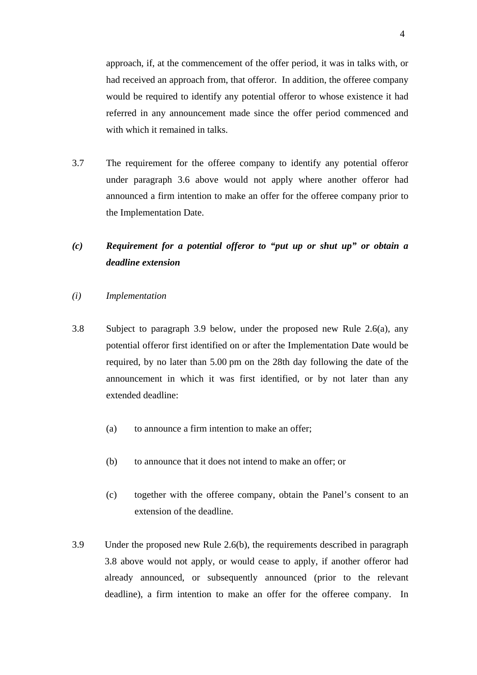approach, if, at the commencement of the offer period, it was in talks with, or had received an approach from, that offeror. In addition, the offeree company would be required to identify any potential offeror to whose existence it had referred in any announcement made since the offer period commenced and with which it remained in talks.

3.7 The requirement for the offeree company to identify any potential offeror under paragraph 3.6 above would not apply where another offeror had announced a firm intention to make an offer for the offeree company prior to the Implementation Date.

# *(c) Requirement for a potential offeror to "put up or shut up" or obtain a deadline extension*

#### *(i) Implementation*

- 3.8 Subject to paragraph 3.9 below, under the proposed new Rule 2.6(a), any potential offeror first identified on or after the Implementation Date would be required, by no later than 5.00 pm on the 28th day following the date of the announcement in which it was first identified, or by not later than any extended deadline:
	- (a) to announce a firm intention to make an offer;
	- (b) to announce that it does not intend to make an offer; or
	- (c) together with the offeree company, obtain the Panel's consent to an extension of the deadline.
- 3.9 Under the proposed new Rule 2.6(b), the requirements described in paragraph 3.8 above would not apply, or would cease to apply, if another offeror had already announced, or subsequently announced (prior to the relevant deadline), a firm intention to make an offer for the offeree company. In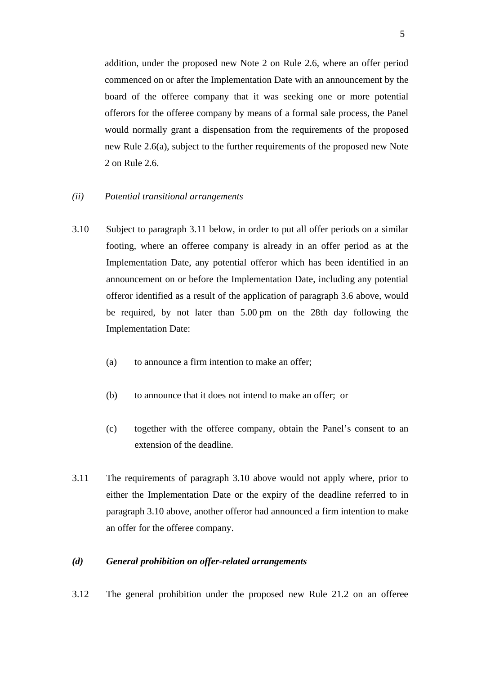addition, under the proposed new Note 2 on Rule 2.6, where an offer period commenced on or after the Implementation Date with an announcement by the board of the offeree company that it was seeking one or more potential offerors for the offeree company by means of a formal sale process, the Panel would normally grant a dispensation from the requirements of the proposed new Rule 2.6(a), subject to the further requirements of the proposed new Note 2 on Rule 2.6.

- *(ii) Potential transitional arrangements*
- 3.10 Subject to paragraph 3.11 below, in order to put all offer periods on a similar footing, where an offeree company is already in an offer period as at the Implementation Date, any potential offeror which has been identified in an announcement on or before the Implementation Date, including any potential offeror identified as a result of the application of paragraph 3.6 above, would be required, by not later than 5.00 pm on the 28th day following the Implementation Date:
	- (a) to announce a firm intention to make an offer;
	- (b) to announce that it does not intend to make an offer; or
	- (c) together with the offeree company, obtain the Panel's consent to an extension of the deadline.
- 3.11 The requirements of paragraph 3.10 above would not apply where, prior to either the Implementation Date or the expiry of the deadline referred to in paragraph 3.10 above, another offeror had announced a firm intention to make an offer for the offeree company.

#### *(d) General prohibition on offer-related arrangements*

3.12 The general prohibition under the proposed new Rule 21.2 on an offeree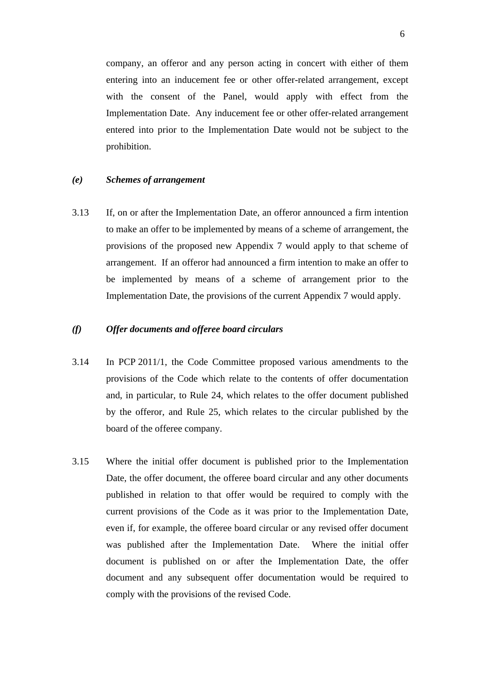company, an offeror and any person acting in concert with either of them entering into an inducement fee or other offer-related arrangement, except with the consent of the Panel, would apply with effect from the Implementation Date. Any inducement fee or other offer-related arrangement entered into prior to the Implementation Date would not be subject to the prohibition.

#### *(e) Schemes of arrangement*

3.13 If, on or after the Implementation Date, an offeror announced a firm intention to make an offer to be implemented by means of a scheme of arrangement, the provisions of the proposed new Appendix 7 would apply to that scheme of arrangement. If an offeror had announced a firm intention to make an offer to be implemented by means of a scheme of arrangement prior to the Implementation Date, the provisions of the current Appendix 7 would apply.

### *(f) Offer documents and offeree board circulars*

- 3.14 In PCP 2011/1, the Code Committee proposed various amendments to the provisions of the Code which relate to the contents of offer documentation and, in particular, to Rule 24, which relates to the offer document published by the offeror, and Rule 25, which relates to the circular published by the board of the offeree company.
- 3.15 Where the initial offer document is published prior to the Implementation Date, the offer document, the offeree board circular and any other documents published in relation to that offer would be required to comply with the current provisions of the Code as it was prior to the Implementation Date, even if, for example, the offeree board circular or any revised offer document was published after the Implementation Date. Where the initial offer document is published on or after the Implementation Date, the offer document and any subsequent offer documentation would be required to comply with the provisions of the revised Code.